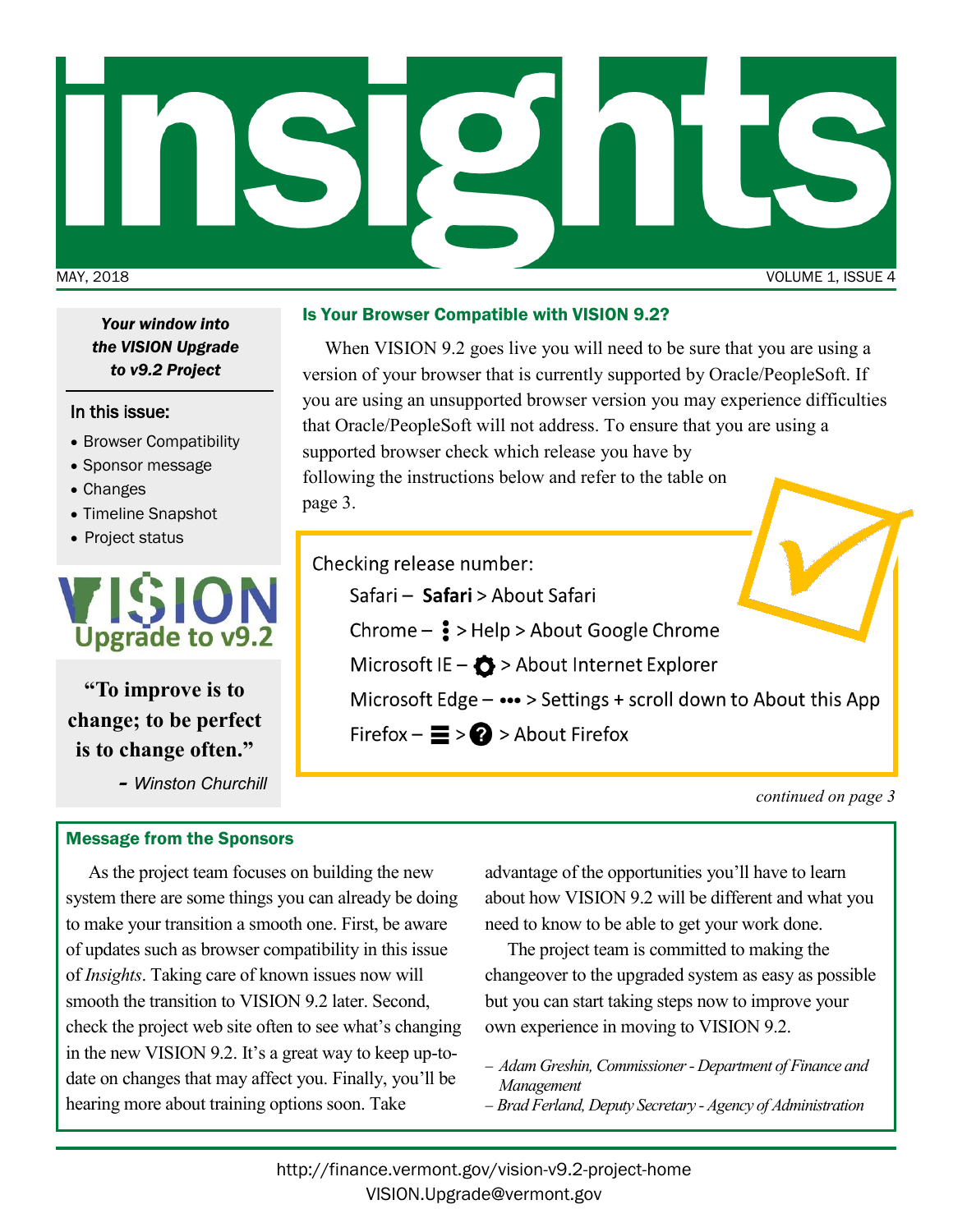

*the VISION Upgrade to v9.2 Project*

### In this issue:

- Browser Compatibility
- Sponsor message
- Changes
- Timeline Snapshot
- Project status



**"To improve is to change; to be perfect is to change often."** 

*- Winston Churchill*

### Message from the Sponsors

# Is Your Browser Compatible with VISION 9.2? *Your window into*

When VISION 9.2 goes live you will need to be sure that you are using a version of your browser that is currently supported by Oracle/PeopleSoft. If you are using an unsupported browser version you may experience difficulties that Oracle/PeopleSoft will not address. To ensure that you are using a supported browser check which release you have by following the instructions below and refer to the table on page 3.

Checking release number:

Safari - Safari > About Safari

Chrome  $\frac{3}{5}$  > Help > About Google Chrome

Microsoft IE -  $\bullet$  > About Internet Explorer

Microsoft Edge - ••• > Settings + scroll down to About this App

Firefox  $-\equiv$  >  $\bigcirc$  > About Firefox

*continued on page 3*

As the project team focuses on building the new system there are some things you can already be doing to make your transition a smooth one. First, be aware of updates such as browser compatibility in this issue of *Insights*. Taking care of known issues now will smooth the transition to VISION 9.2 later. Second, check the project web site often to see what's changing in the new VISION 9.2. It's a great way to keep up-todate on changes that may affect you. Finally, you'll be hearing more about training options soon. Take

advantage of the opportunities you'll have to learn about how VISION 9.2 will be different and what you need to know to be able to get your work done.

The project team is committed to making the changeover to the upgraded system as easy as possible but you can start taking steps now to improve your own experience in moving to VISION 9.2.

- − *Adam Greshin, Commissioner - Department of Finance and Management*
- − *Brad Ferland, Deputy Secretary - Agency of Administration*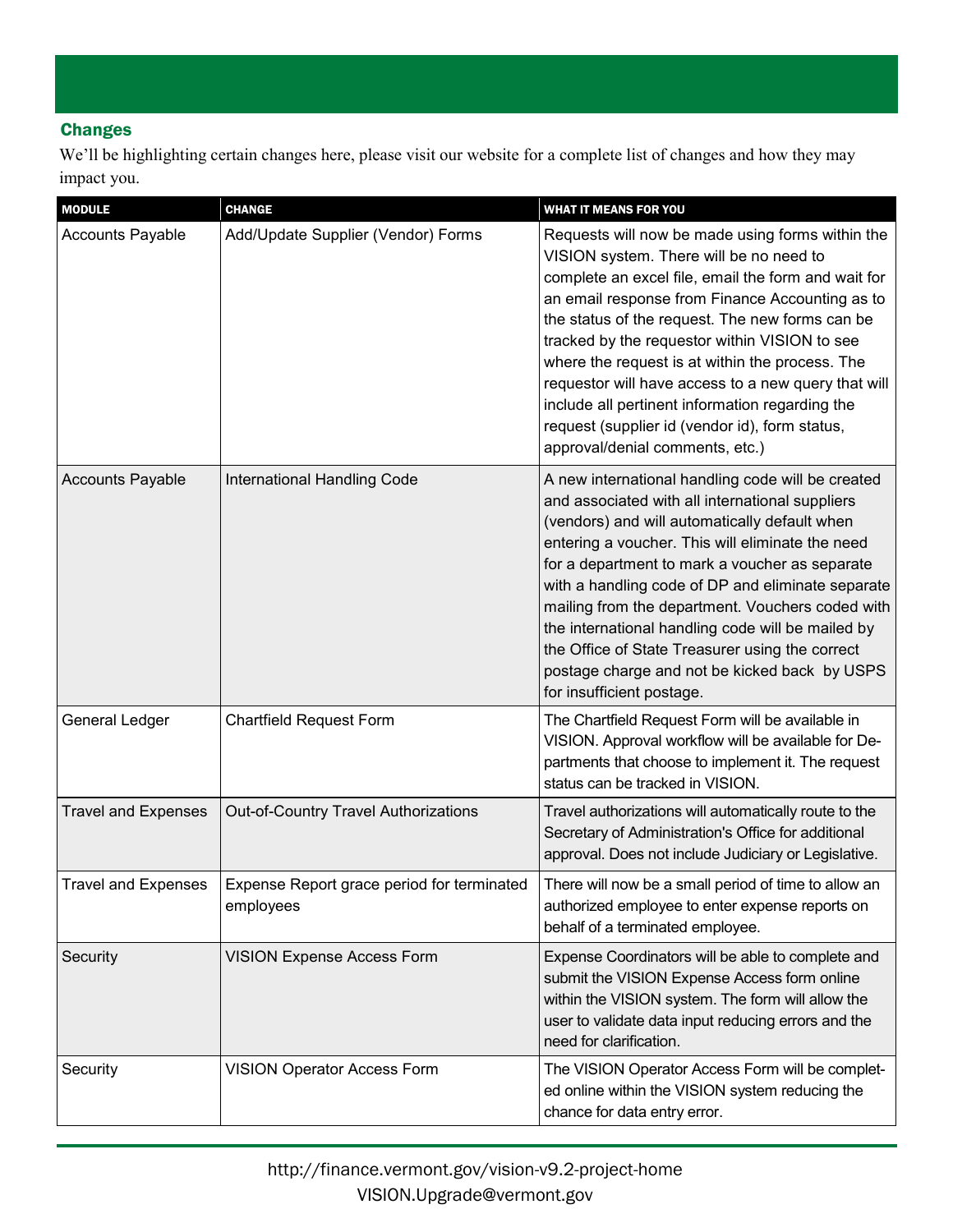## **Changes**

We'll be highlighting certain changes here, please visit our website for a complete list of changes and how they may impact you.

| <b>MODULE</b>              | <b>CHANGE</b>                                           | <b>WHAT IT MEANS FOR YOU</b>                                                                                                                                                                                                                                                                                                                                                                                                                                                                                                                                |
|----------------------------|---------------------------------------------------------|-------------------------------------------------------------------------------------------------------------------------------------------------------------------------------------------------------------------------------------------------------------------------------------------------------------------------------------------------------------------------------------------------------------------------------------------------------------------------------------------------------------------------------------------------------------|
| <b>Accounts Payable</b>    | Add/Update Supplier (Vendor) Forms                      | Requests will now be made using forms within the<br>VISION system. There will be no need to<br>complete an excel file, email the form and wait for<br>an email response from Finance Accounting as to<br>the status of the request. The new forms can be<br>tracked by the requestor within VISION to see<br>where the request is at within the process. The<br>requestor will have access to a new query that will<br>include all pertinent information regarding the<br>request (supplier id (vendor id), form status,<br>approval/denial comments, etc.) |
| <b>Accounts Payable</b>    | International Handling Code                             | A new international handling code will be created<br>and associated with all international suppliers<br>(vendors) and will automatically default when<br>entering a voucher. This will eliminate the need<br>for a department to mark a voucher as separate<br>with a handling code of DP and eliminate separate<br>mailing from the department. Vouchers coded with<br>the international handling code will be mailed by<br>the Office of State Treasurer using the correct<br>postage charge and not be kicked back by USPS<br>for insufficient postage.  |
| General Ledger             | <b>Chartfield Request Form</b>                          | The Chartfield Request Form will be available in<br>VISION. Approval workflow will be available for De-<br>partments that choose to implement it. The request<br>status can be tracked in VISION.                                                                                                                                                                                                                                                                                                                                                           |
| <b>Travel and Expenses</b> | Out-of-Country Travel Authorizations                    | Travel authorizations will automatically route to the<br>Secretary of Administration's Office for additional<br>approval. Does not include Judiciary or Legislative.                                                                                                                                                                                                                                                                                                                                                                                        |
| <b>Travel and Expenses</b> | Expense Report grace period for terminated<br>employees | There will now be a small period of time to allow an<br>authorized employee to enter expense reports on<br>behalf of a terminated employee.                                                                                                                                                                                                                                                                                                                                                                                                                 |
| Security                   | <b>VISION Expense Access Form</b>                       | Expense Coordinators will be able to complete and<br>submit the VISION Expense Access form online<br>within the VISION system. The form will allow the<br>user to validate data input reducing errors and the<br>need for clarification.                                                                                                                                                                                                                                                                                                                    |
| Security                   | <b>VISION Operator Access Form</b>                      | The VISION Operator Access Form will be complet-<br>ed online within the VISION system reducing the<br>chance for data entry error.                                                                                                                                                                                                                                                                                                                                                                                                                         |